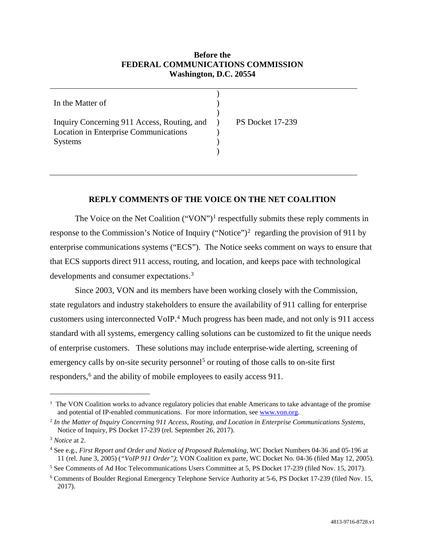## **Before the FEDERAL COMMUNICATIONS COMMISSION Washington, D.C. 20554**

| In the Matter of                             |                         |
|----------------------------------------------|-------------------------|
| Inquiry Concerning 911 Access, Routing, and  | <b>PS Docket 17-239</b> |
| <b>Location in Enterprise Communications</b> |                         |
| <b>Systems</b>                               |                         |
|                                              |                         |

## **REPLY COMMENTS OF THE VOICE ON THE NET COALITION**

The Voice on the Net Coalition  $("VON")^1$  $("VON")^1$  respectfully submits these reply comments in response to the Commission's Notice of Inquiry ("Notice")<sup>[2](#page-0-1)</sup> regarding the provision of 911 by enterprise communications systems ("ECS"). The Notice seeks comment on ways to ensure that that ECS supports direct 911 access, routing, and location, and keeps pace with technological developments and consumer expectations.<sup>[3](#page-0-2)</sup>

Since 2003, VON and its members have been working closely with the Commission, state regulators and industry stakeholders to ensure the availability of 911 calling for enterprise customers using interconnected VoIP. [4](#page-0-3) Much progress has been made, and not only is 911 access standard with all systems, emergency calling solutions can be customized to fit the unique needs of enterprise customers. These solutions may include enterprise-wide alerting, screening of emergency calls by on-site security personnel<sup>[5](#page-0-4)</sup> or routing of those calls to on-site first responders, [6](#page-0-5) and the ability of mobile employees to easily access 911.

<span id="page-0-0"></span> $\overline{1}$  $<sup>1</sup>$  The VON Coalition works to advance regulatory policies that enable Americans to take advantage of the promise</sup> and potential of IP-enabled communications. For more information, see [www.von.org.](http://www.von.org/)

<span id="page-0-1"></span><sup>2</sup> *In the Matter of Inquiry Concerning 911 Access, Routing, and Location in Enterprise Communications Systems,*  Notice of Inquiry, PS Docket 17-239 (rel. September 26, 2017).

<span id="page-0-2"></span><sup>3</sup> *Notice* at 2.

<span id="page-0-3"></span><sup>4</sup> See e.g., *First Report and Order and Notice of Proposed Rulemaking,* WC Docket Numbers 04-36 and 05-196 at 11 (rel. June 3, 2005) (*"VoIP 911 Order")*; VON Coalition ex parte, WC Docket No. 04-36 (filed May 12, 2005).

<span id="page-0-4"></span><sup>5</sup> See Comments of Ad Hoc Telecommunications Users Committee at 5, PS Docket 17-239 (filed Nov. 15, 2017).

<span id="page-0-5"></span><sup>6</sup> Comments of Boulder Regional Emergency Telephone Service Authority at 5-6, PS Docket 17-239 (filed Nov. 15, 2017).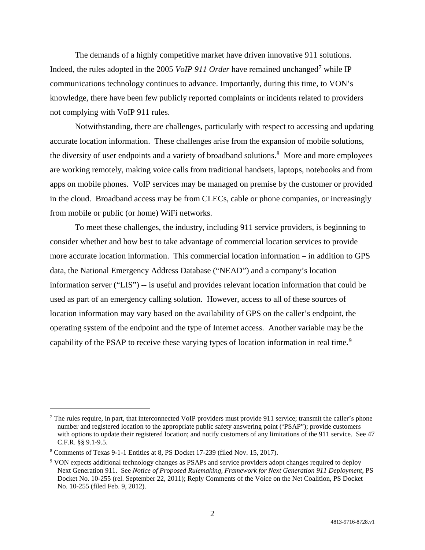The demands of a highly competitive market have driven innovative 911 solutions. Indeed, the rules adopted in the 2005 *VoIP 911 Order* have remained unchanged<sup>[7](#page-1-0)</sup> while IP communications technology continues to advance. Importantly, during this time, to VON's knowledge, there have been few publicly reported complaints or incidents related to providers not complying with VoIP 911 rules.

Notwithstanding, there are challenges, particularly with respect to accessing and updating accurate location information. These challenges arise from the expansion of mobile solutions, the diversity of user endpoints and a variety of broadband solutions.<sup>8</sup> More and more employees are working remotely, making voice calls from traditional handsets, laptops, notebooks and from apps on mobile phones. VoIP services may be managed on premise by the customer or provided in the cloud. Broadband access may be from CLECs, cable or phone companies, or increasingly from mobile or public (or home) WiFi networks.

To meet these challenges, the industry, including 911 service providers, is beginning to consider whether and how best to take advantage of commercial location services to provide more accurate location information. This commercial location information – in addition to GPS data, the National Emergency Address Database ("NEAD") and a company's location information server ("LIS") -- is useful and provides relevant location information that could be used as part of an emergency calling solution. However, access to all of these sources of location information may vary based on the availability of GPS on the caller's endpoint, the operating system of the endpoint and the type of Internet access. Another variable may be the capability of the PSAP to receive these varying types of location information in real time. [9](#page-1-2) 

<span id="page-1-0"></span><sup>&</sup>lt;sup>7</sup> The rules require, in part, that interconnected VoIP providers must provide 911 service; transmit the caller's phone number and registered location to the appropriate public safety answering point ('PSAP"); provide customers with options to update their registered location; and notify customers of any limitations of the 911 service. See 47 C.F.R. §§ 9.1-9.5.

<span id="page-1-1"></span><sup>8</sup> Comments of Texas 9-1-1 Entities at 8, PS Docket 17-239 (filed Nov. 15, 2017).

<span id="page-1-2"></span><sup>9</sup> VON expects additional technology changes as PSAPs and service providers adopt changes required to deploy Next Generation 911. See *Notice of Proposed Rulemaking, Framework for Next Generation 911 Deployment,* PS Docket No. 10-255 (rel. September 22, 2011); Reply Comments of the Voice on the Net Coalition, PS Docket No. 10-255 (filed Feb. 9, 2012).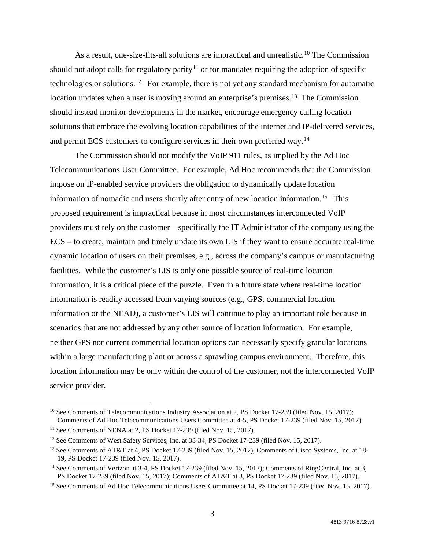As a result, one-size-fits-all solutions are impractical and unrealistic.<sup>[10](#page-2-0)</sup> The Commission should not adopt calls for regulatory parity<sup>[11](#page-2-1)</sup> or for mandates requiring the adoption of specific technologies or solutions.<sup>12</sup> For example, there is not yet any standard mechanism for automatic location updates when a user is moving around an enterprise's premises.<sup>[13](#page-2-3)</sup> The Commission should instead monitor developments in the market, encourage emergency calling location solutions that embrace the evolving location capabilities of the internet and IP-delivered services, and permit ECS customers to configure services in their own preferred way.[14](#page-2-4) 

The Commission should not modify the VoIP 911 rules, as implied by the Ad Hoc Telecommunications User Committee. For example, Ad Hoc recommends that the Commission impose on IP-enabled service providers the obligation to dynamically update location information of nomadic end users shortly after entry of new location information.[15](#page-2-5) This proposed requirement is impractical because in most circumstances interconnected VoIP providers must rely on the customer – specifically the IT Administrator of the company using the ECS – to create, maintain and timely update its own LIS if they want to ensure accurate real-time dynamic location of users on their premises, e.g., across the company's campus or manufacturing facilities. While the customer's LIS is only one possible source of real-time location information, it is a critical piece of the puzzle. Even in a future state where real-time location information is readily accessed from varying sources (e.g., GPS, commercial location information or the NEAD), a customer's LIS will continue to play an important role because in scenarios that are not addressed by any other source of location information. For example, neither GPS nor current commercial location options can necessarily specify granular locations within a large manufacturing plant or across a sprawling campus environment. Therefore, this location information may be only within the control of the customer, not the interconnected VoIP service provider.

<span id="page-2-0"></span><sup>&</sup>lt;sup>10</sup> See Comments of Telecommunications Industry Association at 2, PS Docket 17-239 (filed Nov. 15, 2017); Comments of Ad Hoc Telecommunications Users Committee at 4-5, PS Docket 17-239 (filed Nov. 15, 2017).

<span id="page-2-1"></span><sup>&</sup>lt;sup>11</sup> See Comments of NENA at 2, PS Docket 17-239 (filed Nov. 15, 2017).

<span id="page-2-2"></span><sup>&</sup>lt;sup>12</sup> See Comments of West Safety Services, Inc. at 33-34, PS Docket 17-239 (filed Nov. 15, 2017).

<span id="page-2-3"></span><sup>&</sup>lt;sup>13</sup> See Comments of AT&T at 4, PS Docket 17-239 (filed Nov. 15, 2017); Comments of Cisco Systems, Inc. at 18-19, PS Docket 17-239 (filed Nov. 15, 2017).

<span id="page-2-4"></span><sup>&</sup>lt;sup>14</sup> See Comments of Verizon at 3-4, PS Docket 17-239 (filed Nov. 15, 2017); Comments of RingCentral, Inc. at 3, PS Docket 17-239 (filed Nov. 15, 2017); Comments of AT&T at 3, PS Docket 17-239 (filed Nov. 15, 2017).

<span id="page-2-5"></span><sup>15</sup> See Comments of Ad Hoc Telecommunications Users Committee at 14, PS Docket 17-239 (filed Nov. 15, 2017).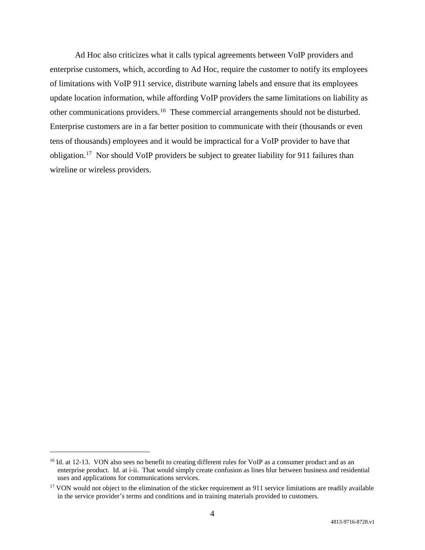Ad Hoc also criticizes what it calls typical agreements between VoIP providers and enterprise customers, which, according to Ad Hoc, require the customer to notify its employees of limitations with VoIP 911 service, distribute warning labels and ensure that its employees update location information, while affording VoIP providers the same limitations on liability as other communications providers.[16](#page-3-0) These commercial arrangements should not be disturbed. Enterprise customers are in a far better position to communicate with their (thousands or even tens of thousands) employees and it would be impractical for a VoIP provider to have that obligation.[17](#page-3-1) Nor should VoIP providers be subject to greater liability for 911 failures than wireline or wireless providers.

<span id="page-3-0"></span><sup>&</sup>lt;sup>16</sup> Id. at 12-13. VON also sees no benefit to creating different rules for VoIP as a consumer product and as an enterprise product. Id. at i-ii. That would simply create confusion as lines blur between business and residential uses and applications for communications services.

<span id="page-3-1"></span> $17$  VON would not object to the elimination of the sticker requirement as 911 service limitations are readily available in the service provider's terms and conditions and in training materials provided to customers.